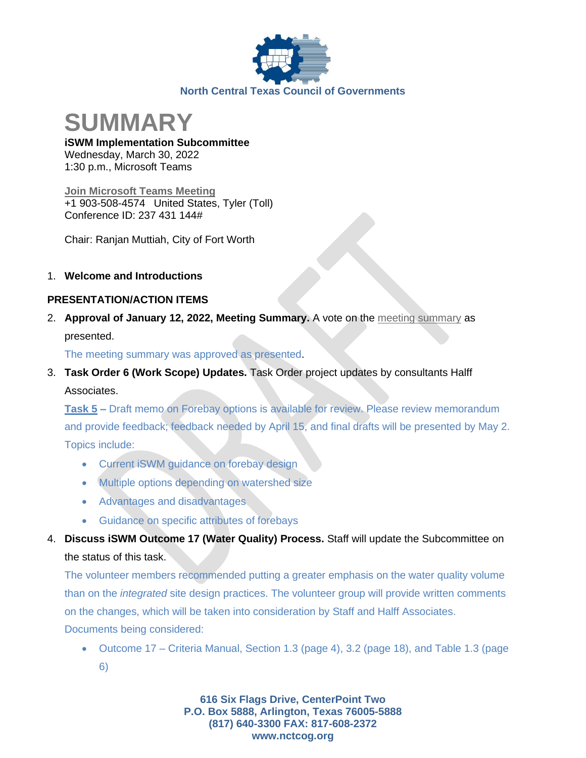



**iSWM Implementation Subcommittee** Wednesday, March 30, 2022 1:30 p.m., Microsoft Teams

**[Join Microsoft Teams Meeting](https://teams.microsoft.com/l/meetup-join/19%3ameeting_NTcxM2IyZWUtMTU0Zi00NDBlLTg4OTQtMjE4YTQyMDk1MmYw%40thread.v2/0?context=%7b%22Tid%22%3a%222f5e7ebc-22b0-4fbe-934c-aabddb4e29b1%22%2c%22Oid%22%3a%22e36755e2-eefa-4b02-b9cc-4498875cd36a%22%7d)** +1 903-508-4574 United States, Tyler (Toll) Conference ID: 237 431 144#

Chair: Ranjan Muttiah, City of Fort Worth

## 1. **Welcome and Introductions**

## **PRESENTATION/ACTION ITEMS**

2. **Approval of January 12, 2022, Meeting Summary.** A vote on the [meeting summary](https://www.nctcog.org/getmedia/52c583d9-5855-4698-ae44-cc76bc0173e6/Summary-01122022-DRAFT_3.pdf.aspx?ext=.pdf) as presented.

The meeting summary was approved as presented.

3. **Task Order 6 (Work Scope) Updates.** Task Order project updates by consultants Halff Associates.

**Task 5 –** Draft memo on Forebay options is available for review. Please review memorandum and provide feedback; feedback needed by April 15, and final drafts will be presented by May 2. Topics include:

- Current iSWM guidance on forebay design
- Multiple options depending on watershed size
- Advantages and disadvantages
- Guidance on specific attributes of forebays
- 4. **Discuss iSWM Outcome 17 (Water Quality) Process.** Staff will update the Subcommittee on the status of this task.

The volunteer members recommended putting a greater emphasis on the water quality volume than on the *integrated* site design practices. The volunteer group will provide written comments on the changes, which will be taken into consideration by Staff and Halff Associates. Documents being considered:

• Outcome 17 – Criteria Manual, Section 1.3 (page 4), 3.2 (page 18), and Table 1.3 (page 6)

> **616 Six Flags Drive, CenterPoint Two P.O. Box 5888, Arlington, Texas 76005-5888 (817) 640-3300 FAX: 817-608-2372 www.nctcog.org**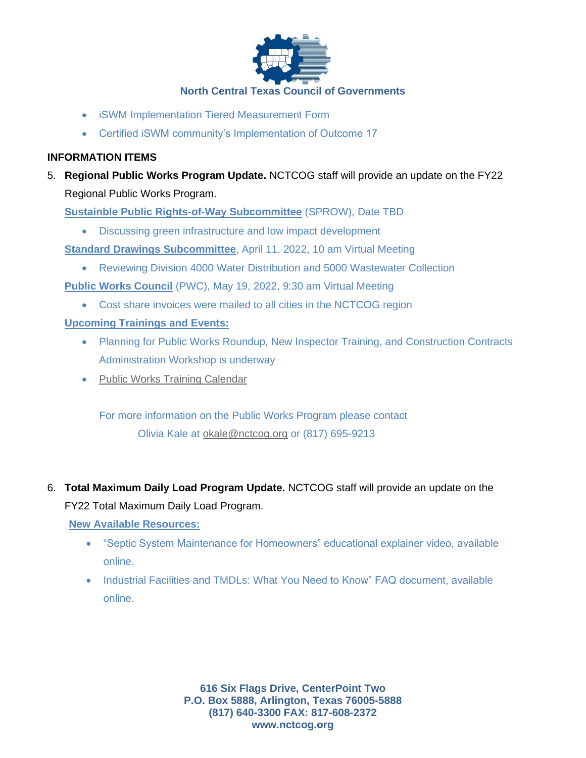

- iSWM Implementation Tiered Measurement Form
- Certified iSWM community's Implementation of Outcome 17

# **INFORMATION ITEMS**

5. **Regional Public Works Program Update.** NCTCOG staff will provide an update on the FY22 Regional Public Works Program.

**Sustainble Public Rights-of-Way Subcommittee** (SPROW), Date TBD

• Discussing green infrastructure and low impact development

**Standard Drawings Subcommittee**, April 11, 2022, 10 am Virtual Meeting

• Reviewing Division 4000 Water Distribution and 5000 Wastewater Collection

**Public Works Council** (PWC), May 19, 2022, 9:30 am Virtual Meeting

• Cost share invoices were mailed to all cities in the NCTCOG region

# **Upcoming Trainings and Events:**

- Planning for Public Works Roundup, New Inspector Training, and Construction Contracts Administration Workshop is underway
- [Public Works Training Calendar](https://www.nctcog.org/envir/public-works/training-calendar)

For more information on the Public Works Program please contact Olivia Kale at [okale@nctcog.org](mailto:okale@nctcog.org) or (817) 695-9213

6. **Total Maximum Daily Load Program Update.** NCTCOG staff will provide an update on the FY22 Total Maximum Daily Load Program.

## **New Available Resources:**

- "Septic System Maintenance for Homeowners" educational explainer video, available online.
- Industrial Facilities and TMDLs: What You Need to Know" FAQ document, available online.

**616 Six Flags Drive, CenterPoint Two P.O. Box 5888, Arlington, Texas 76005-5888 (817) 640-3300 FAX: 817-608-2372 www.nctcog.org**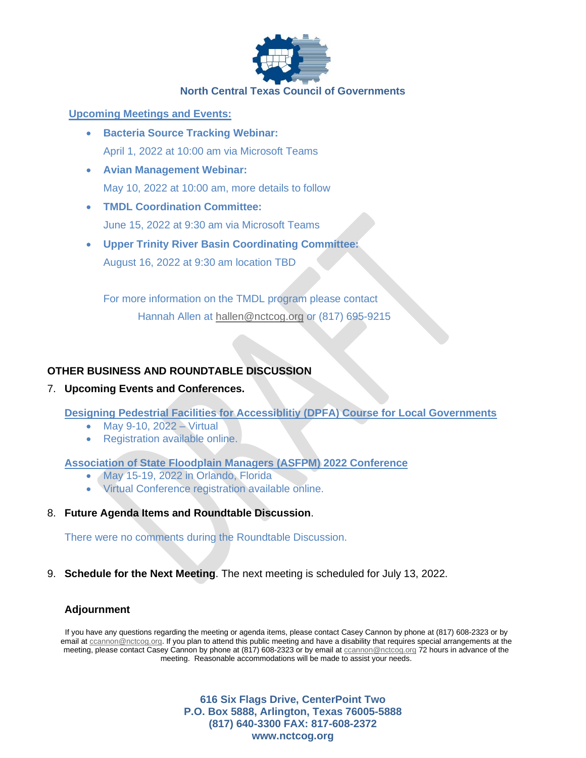

#### **North Central Texas Council of Governments**

#### **Upcoming Meetings and Events:**

- **Bacteria Source Tracking Webinar:** April 1, 2022 at 10:00 am via Microsoft Teams
- **Avian Management Webinar:** May 10, 2022 at 10:00 am, more details to follow
- **TMDL Coordination Committee:** June 15, 2022 at 9:30 am via Microsoft Teams
- **Upper Trinity River Basin Coordinating Committee:** August 16, 2022 at 9:30 am location TBD

For more information on the TMDL program please contact Hannah Allen at [hallen@nctcog.org](mailto:hallen@nctcog.org) or (817) 695-9215

## **OTHER BUSINESS AND ROUNDTABLE DISCUSSION**

#### 7. **Upcoming Events and Conferences.**

**Designing Pedestrial Facilities for Accessiblitiy (DPFA) Course for Local Governments**

- May 9-10, 2022 Virtual
- Registration available online.

#### **Association of State Floodplain Managers (ASFPM) 2022 Conference**

- May 15-19, 2022 in Orlando, Florida
- Virtual Conference registration available online.

#### 8. **Future Agenda Items and Roundtable Discussion**.

There were no comments during the Roundtable Discussion.

9. **Schedule for the Next Meeting**. The next meeting is scheduled for July 13, 2022.

#### **Adjournment**

If you have any questions regarding the meeting or agenda items, please contact Casey Cannon by phone at (817) 608-2323 or by email at [ccannon@nctcog.org.](mailto:ccannon@nctcog.org) If you plan to attend this public meeting and have a disability that requires special arrangements at the meeting, please contact Casey Cannon by phone at (817) 608-2323 or by email a[t ccannon@nctcog.org](mailto:ccannon@nctcog.org) 72 hours in advance of the meeting. Reasonable accommodations will be made to assist your needs.

> **616 Six Flags Drive, CenterPoint Two P.O. Box 5888, Arlington, Texas 76005-5888 (817) 640-3300 FAX: 817-608-2372 www.nctcog.org**